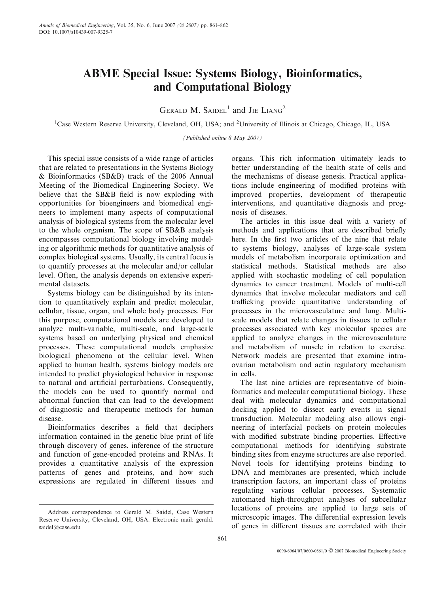## ABME Special Issue: Systems Biology, Bioinformatics, and Computational Biology

GERALD M. SAIDEL<sup>1</sup> and JIE  $\text{LIANG}^2$ 

<sup>1</sup>Case Western Reserve University, Cleveland, OH, USA; and <sup>2</sup>University of Illinois at Chicago, Chicago, IL, USA

(Published online 8 May 2007)

This special issue consists of a wide range of articles that are related to presentations in the Systems Biology & Bioinformatics (SB&B) track of the 2006 Annual Meeting of the Biomedical Engineering Society. We believe that the SB&B field is now exploding with opportunities for bioengineers and biomedical engineers to implement many aspects of computational analysis of biological systems from the molecular level to the whole organism. The scope of SB&B analysis encompasses computational biology involving modeling or algorithmic methods for quantitative analysis of complex biological systems. Usually, its central focus is to quantify processes at the molecular and/or cellular level. Often, the analysis depends on extensive experimental datasets.

Systems biology can be distinguished by its intention to quantitatively explain and predict molecular, cellular, tissue, organ, and whole body processes. For this purpose, computational models are developed to analyze multi-variable, multi-scale, and large-scale systems based on underlying physical and chemical processes. These computational models emphasize biological phenomena at the cellular level. When applied to human health, systems biology models are intended to predict physiological behavior in response to natural and artificial perturbations. Consequently, the models can be used to quantify normal and abnormal function that can lead to the development of diagnostic and therapeutic methods for human disease.

Bioinformatics describes a field that deciphers information contained in the genetic blue print of life through discovery of genes, inference of the structure and function of gene-encoded proteins and RNAs. It provides a quantitative analysis of the expression patterns of genes and proteins, and how such expressions are regulated in different tissues and

organs. This rich information ultimately leads to better understanding of the health state of cells and the mechanisms of disease genesis. Practical applications include engineering of modified proteins with improved properties, development of therapeutic interventions, and quantitative diagnosis and prognosis of diseases.

The articles in this issue deal with a variety of methods and applications that are described briefly here. In the first two articles of the nine that relate to systems biology, analyses of large-scale system models of metabolism incorporate optimization and statistical methods. Statistical methods are also applied with stochastic modeling of cell population dynamics to cancer treatment. Models of multi-cell dynamics that involve molecular mediators and cell trafficking provide quantitative understanding of processes in the microvasculature and lung. Multiscale models that relate changes in tissues to cellular processes associated with key molecular species are applied to analyze changes in the microvasculature and metabolism of muscle in relation to exercise. Network models are presented that examine intraovarian metabolism and actin regulatory mechanism in cells.

The last nine articles are representative of bioinformatics and molecular computational biology. These deal with molecular dynamics and computational docking applied to dissect early events in signal transduction. Molecular modeling also allows engineering of interfacial pockets on protein molecules with modified substrate binding properties. Effective computational methods for identifying substrate binding sites from enzyme structures are also reported. Novel tools for identifying proteins binding to DNA and membranes are presented, which include transcription factors, an important class of proteins regulating various cellular processes. Systematic automated high-throughput analyses of subcellular locations of proteins are applied to large sets of microscopic images. The differential expression levels of genes in different tissues are correlated with their

Address correspondence to Gerald M. Saidel, Case Western Reserve University, Cleveland, OH, USA. Electronic mail: gerald. saidel@case.edu